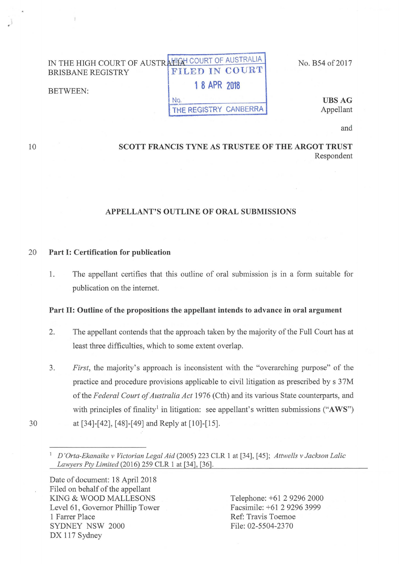#### IN THE HIGH COURT OF AUSTRALIA COURT OF AUSTRALIA BRISBANE REGISTRY BETWEEN: FILED IN COURT 1 8 APR 2018

No.

No. B54 of 2017

UBSAG Appellant

and

## SCOTT FRANCIS TYNE AS TRUSTEE OF THE ARGOT TRUST Respondent

THE REGISTRY CANBERRA

## APPELLANT'S OUTLINE OF ORAL SUBMISSIONS

#### 20 Part I: Certification for publication

1. The appellant certifies that this outline of oral submission js in a fonn suitable for publication on the internet.

### Part II: Outline of the propositions the appellant intends to advance in oral argument

- 2. The appellant contends that the approach taken by the majority of the Full Court has at least three difficulties, which to some extent overlap.
- 3. *First,* the majority's approach is inconsistent with the "overarching purpose" of the practice and procedure provisions applicable to civil litigation as prescribed by s 37M of the *Federal Court of Australia Act* 1976 (Cth) and its various State counterparts, and with principles of finality<sup>1</sup> in litigation: see appellant's written submissions (" $AWS$ ") 30 at [34]-[42], [48]-[49] ahd Reply at [10]-[15].
	- <sup>1</sup>*D 'Orta-Ekanaike v Victorian Legal Aid* (2005) 223 CLR 1 at [34], [ 45]; *Attwells v Jackson Lalic Lawyers Pty Limited* (2016) 259 CLR 1 at [34], [36].

Date of document: 18 April 2018 Filed on behalf of the appellant KING & WOOD MALLESONS Level 61, Governor Phillip Tower 1 Farrer Place SYDNEY NSW 2000 DX 117 Sydney

Telephone: +61 2 9296 2000 Facsimile: +61 2 9296 3999 Ref: Travis Toemoe File: 02-5504-2370

10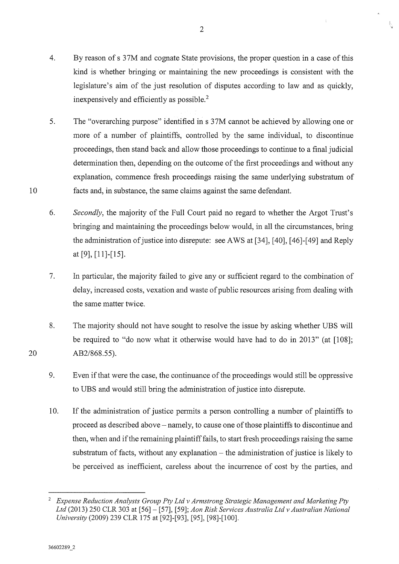2

Ñ.

5. The "overarching purpose" identified in s 37M cannot be achieved by allowing one or more of a number of plaintiffs, controlled by the same individual, to discontinue proceedings, then stand back and allow those proceedings to continue to a final judicial determination then, depending on the outcome of the first proceedings and without any explanation, commence fresh proceedings raising the same underlying substratum of facts and, in substance, the same claims against the same defendant.

6. *Secondly,* the majority of the Full Court paid no regard to whether the Argot Trust's bringing and maintaining the proceedings below would, in all the circumstances, bring the administration of justice into disrepute: see A WS at [34], [ 40], [ 46]-[ 49] and Reply at [9], [11]-[15].

7. In particular, the majority failed to give any or sufficient regard to the combination of delay, increased costs, vexation and waste of public resources arising from dealing with the same matter twice.

8. The majority should not have sought to resolve the issue by asking whether UBS will be required to "do now what it otherwise would have had to do in 2013" (at [108]; AB2/868.55).

9. Even if that were the case, the continuance of the proceedings would still be oppressive to UBS and would still bring the administration of justice into disrepute.

10. If the administration of justice permits a person controlling a number of plaintiffs to proceed as described above- namely, to cause one of those plaintiffs to discontinue and then, when and if the remaining plaintiff fails, to start fresh proceedings raising the same substratum of facts, without any explanation- the administration of justice is likely to be perceived as inefficient, careless about the incurrence of cost by the parties, and

10

20

<sup>2</sup>*Expense Reduction Analysts Group Pty Ltd v Armstrong Strategic Management and Marketing Pty Ltd* (2013) 250 CLR 303 at [56]- [57], [59]; *Aon Risk Services Australia Ltd v Australian National University* (2009) 239 CLR 175 at [92]-[93], [95], [98]-[100].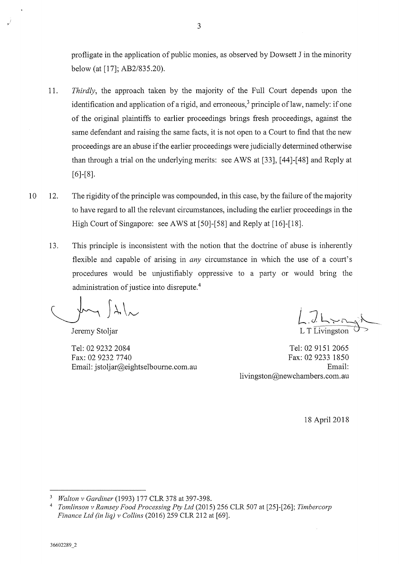profligate in the application of public monies, as observed by Dowsett J in the minority below (at [17]; AB2/835.20).

- 11. *Thirdly,* the approach taken by the majority of the Full Court depends upon the identification and application of a rigid, and erroneous,<sup>3</sup> principle of law, namely: if one of the original plaintiffs to earlier proceedings brings fresh proceedings, against the same defendant and raising the same facts, it is not open to a Court to find that the new proceedings are an abuse if the earlier proceedings were judicially detennined otherwise than through a trial on the underlying merits: see AWS at [33], [44]-[48] and Reply at  $[6]-[8]$ .
- 10 12. The rigidity of the principle was compounded, in this case, by the failure of the majority to have regard to all the relevant circumstances, including the earlier proceedings in the High Court of Singapore: see AWS at [50]-[58] and Reply at [16]-[18].
	- 13. This principle is inconsistent with the notion that the doctrine of abuse is inherently flexible and capable of arising in *any* circumstance in which the use of a court's procedures would be unjustifiably oppressive to a party or would bring the administration of justice into disrepute. 4

 $|\lambda|_{\sim}$ 

Jeremy Stoljar

Tel: 02 9232 2084 Fax: 02 9232 7740 Email: jstoljar@eightselbourne.com.au

L T Livingston

Tel: 02 9151 2065 Fax: 02 9233 1850 Email: livingston@newchambers.com.au

18 April2018

<sup>3</sup>*Walton v Gardiner* (1993) 177 CLR 378 at 397-398.

<sup>4</sup>*Tomlinson v Ramsey Food Processing Pty Ltd* (2015) 256 CLR 507 at [25]-[26]; *Timbercorp Finance Ltd (in liq) v Collins* (2016) 259 CLR 212 at [69].